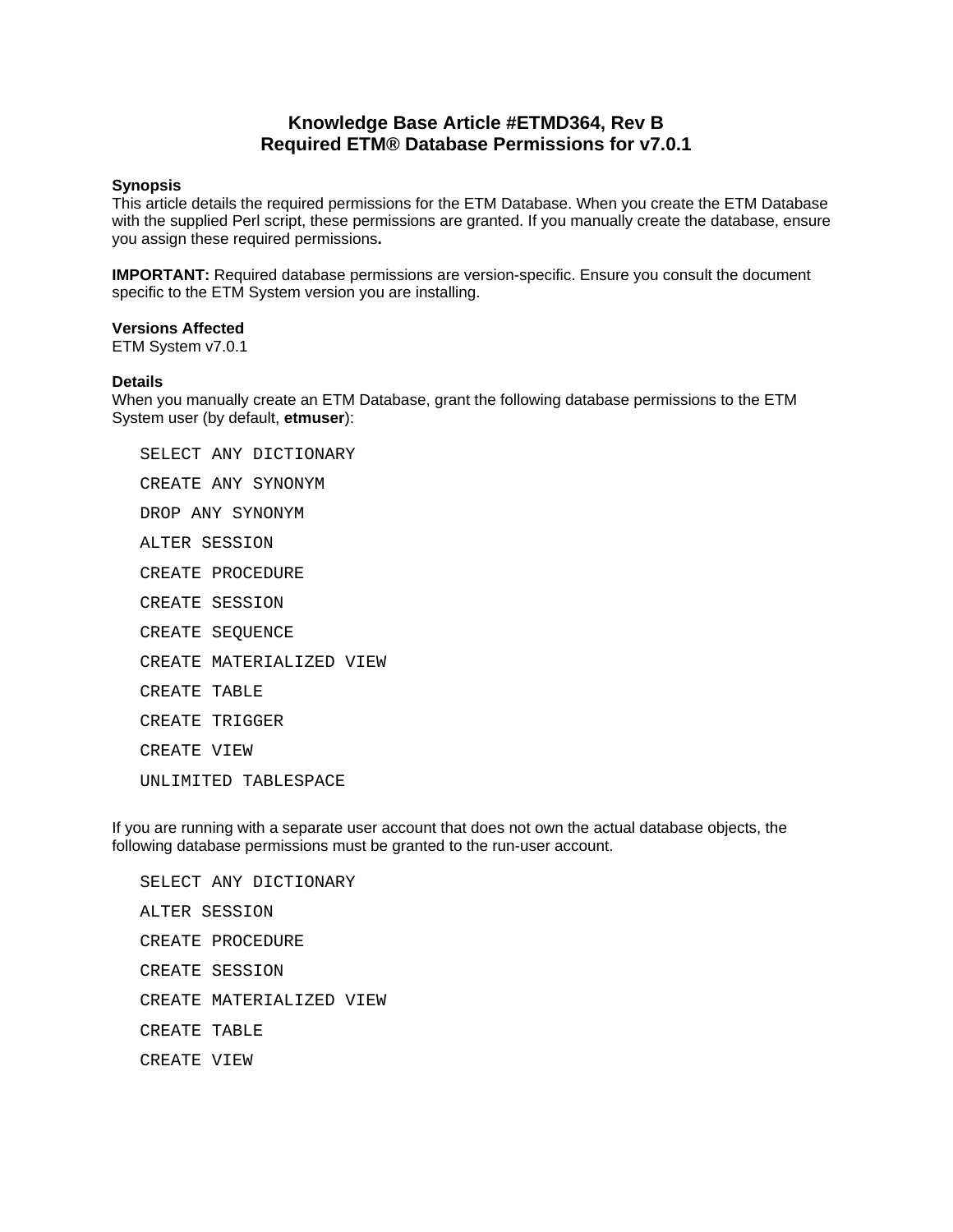## **Knowledge Base Article #ETMD364, Rev B Required ETM® Database Permissions for v7.0.1**

## **Synopsis**

This article details the required permissions for the ETM Database. When you create the ETM Database with the supplied Perl script, these permissions are granted. If you manually create the database, ensure you assign these required permissions**.** 

**IMPORTANT:** Required database permissions are version-specific. Ensure you consult the document specific to the ETM System version you are installing.

## **Versions Affected**

ETM System v7.0.1

## **Details**

When you manually create an ETM Database, grant the following database permissions to the ETM System user (by default, **etmuser**):

SELECT ANY DICTIONARY CREATE ANY SYNONYM DROP ANY SYNONYM ALTER SESSION CREATE PROCEDURE CREATE SESSION CREATE SEQUENCE CREATE MATERIALIZED VIEW CREATE TABLE CREATE TRIGGER CREATE VIEW UNLIMITED TABLESPACE

If you are running with a separate user account that does not own the actual database objects, the following database permissions must be granted to the run-user account.

SELECT ANY DICTIONARY ALTER SESSION CREATE PROCEDURE CREATE SESSION CREATE MATERIALIZED VIEW CREATE TABLE CREATE VIEW